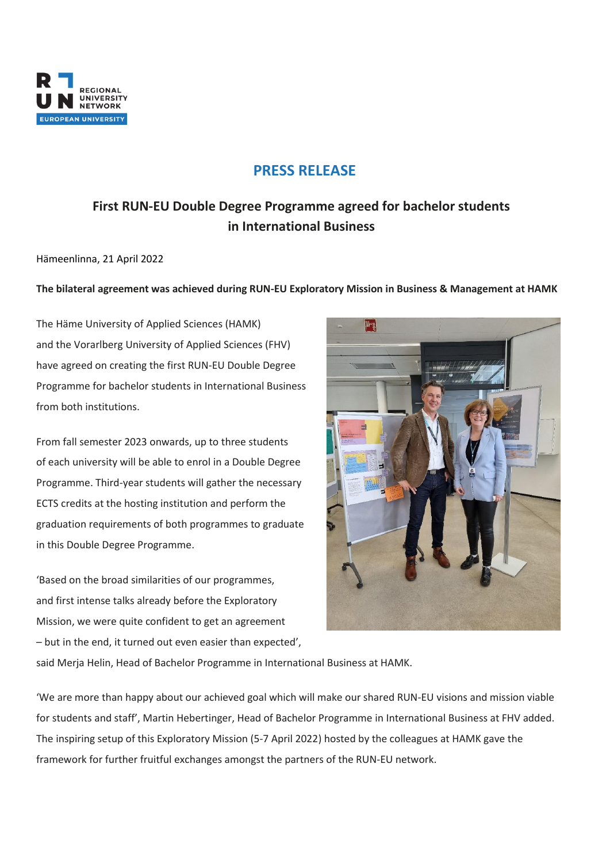

## **PRESS RELEASE**

# **First RUN-EU Double Degree Programme agreed for bachelor students in International Business**

Hämeenlinna, 21 April 2022

### **The bilateral agreement was achieved during RUN-EU Exploratory Mission in Business & Management at HAMK**

The Häme University of Applied Sciences (HAMK) and the Vorarlberg University of Applied Sciences (FHV) have agreed on creating the first RUN-EU Double Degree Programme for bachelor students in International Business from both institutions.

From fall semester 2023 onwards, up to three students of each university will be able to enrol in a Double Degree Programme. Third-year students will gather the necessary ECTS credits at the hosting institution and perform the graduation requirements of both programmes to graduate in this Double Degree Programme.

'Based on the broad similarities of our programmes, and first intense talks already before the Exploratory Mission, we were quite confident to get an agreement – but in the end, it turned out even easier than expected',



said Merja Helin, Head of Bachelor Programme in International Business at HAMK.

'We are more than happy about our achieved goal which will make our shared RUN-EU visions and mission viable for students and staff', Martin Hebertinger, Head of Bachelor Programme in International Business at FHV added. The inspiring setup of this Exploratory Mission (5-7 April 2022) hosted by the colleagues at HAMK gave the framework for further fruitful exchanges amongst the partners of the RUN-EU network.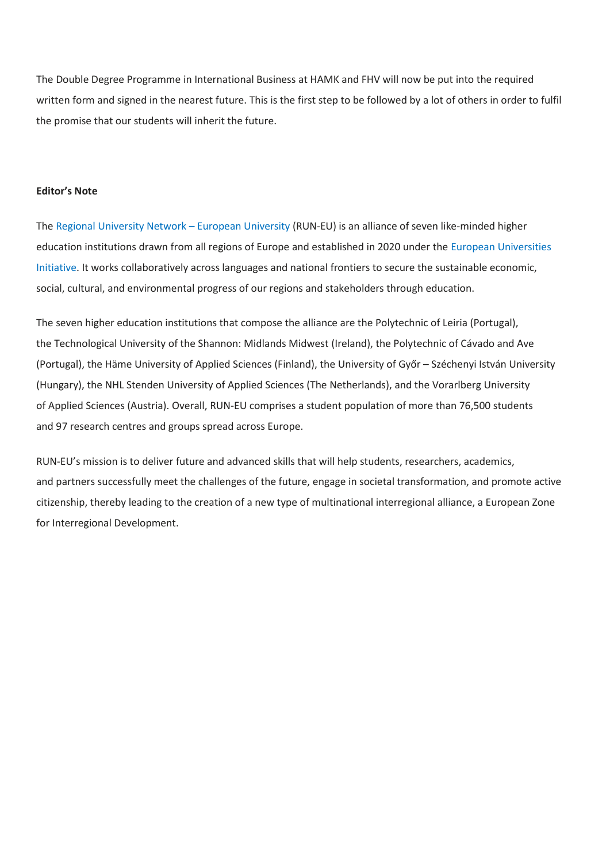The Double Degree Programme in International Business at HAMK and FHV will now be put into the required written form and signed in the nearest future. This is the first step to be followed by a lot of others in order to fulfil the promise that our students will inherit the future.

#### **Editor's Note**

Th[e Regional University Network](https://run-eu.eu/) – European University (RUN-EU) is an alliance of seven like-minded higher education institutions drawn from all regions of Europe and established in 2020 under the [European Universities](https://ec.europa.eu/education/education-in-the-eu/european-education-area/european-universities-initiative_en)  [Initiative.](https://ec.europa.eu/education/education-in-the-eu/european-education-area/european-universities-initiative_en) It works collaboratively across languages and national frontiers to secure the sustainable economic, social, cultural, and environmental progress of our regions and stakeholders through education.

The seven higher education institutions that compose the alliance are the Polytechnic of Leiria (Portugal), the Technological University of the Shannon: Midlands Midwest (Ireland), the Polytechnic of Cávado and Ave (Portugal), the Häme University of Applied Sciences (Finland), the University of Győr – Széchenyi István University (Hungary), the NHL Stenden University of Applied Sciences (The Netherlands), and the Vorarlberg University of Applied Sciences (Austria). Overall, RUN-EU comprises a student population of more than 76,500 students and 97 research centres and groups spread across Europe.

RUN-EU's mission is to deliver future and advanced skills that will help students, researchers, academics, and partners successfully meet the challenges of the future, engage in societal transformation, and promote active citizenship, thereby leading to the creation of a new type of multinational interregional alliance, a European Zone for Interregional Development.